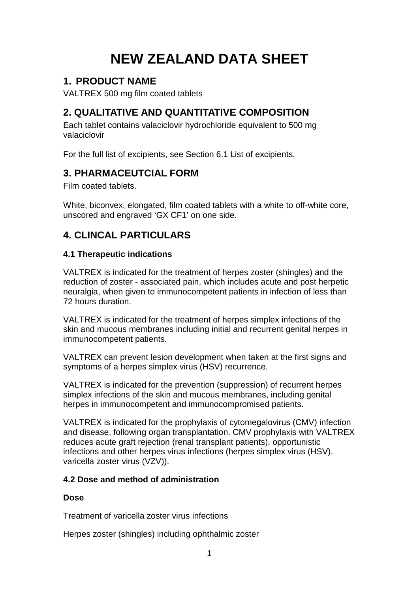# **NEW ZEALAND DATA SHEET**

# **1. PRODUCT NAME**

VALTREX 500 mg film coated tablets

# **2. QUALITATIVE AND QUANTITATIVE COMPOSITION**

Each tablet contains valaciclovir hydrochloride equivalent to 500 mg valaciclovir

For the full list of excipients, see Section 6.1 List of excipients.

# **3. PHARMACEUTCIAL FORM**

Film coated tablets.

White, biconvex, elongated, film coated tablets with a white to off-white core, unscored and engraved 'GX CF1' on one side.

# **4. CLINCAL PARTICULARS**

# **4.1 Therapeutic indications**

VALTREX is indicated for the treatment of herpes zoster (shingles) and the reduction of zoster - associated pain, which includes acute and post herpetic neuralgia, when given to immunocompetent patients in infection of less than 72 hours duration.

VALTREX is indicated for the treatment of herpes simplex infections of the skin and mucous membranes including initial and recurrent genital herpes in immunocompetent patients.

VALTREX can prevent lesion development when taken at the first signs and symptoms of a herpes simplex virus (HSV) recurrence.

VALTREX is indicated for the prevention (suppression) of recurrent herpes simplex infections of the skin and mucous membranes, including genital herpes in immunocompetent and immunocompromised patients.

VALTREX is indicated for the prophylaxis of cytomegalovirus (CMV) infection and disease, following organ transplantation. CMV prophylaxis with VALTREX reduces acute graft rejection (renal transplant patients), opportunistic infections and other herpes virus infections (herpes simplex virus (HSV), varicella zoster virus (VZV)).

# **4.2 Dose and method of administration**

# **Dose**

# Treatment of varicella zoster virus infections

Herpes zoster (shingles) including ophthalmic zoster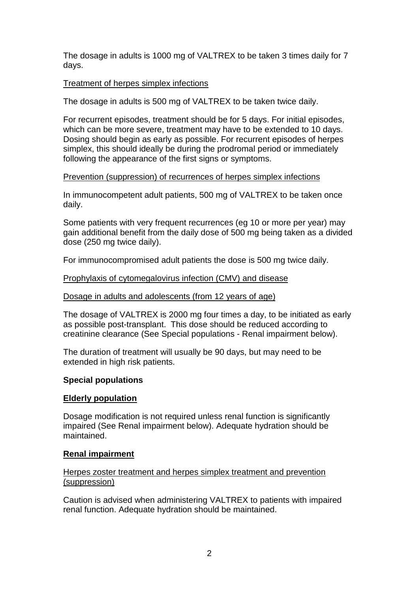The dosage in adults is 1000 mg of VALTREX to be taken 3 times daily for 7 days.

#### Treatment of herpes simplex infections

The dosage in adults is 500 mg of VALTREX to be taken twice daily.

For recurrent episodes, treatment should be for 5 days. For initial episodes, which can be more severe, treatment may have to be extended to 10 days. Dosing should begin as early as possible. For recurrent episodes of herpes simplex, this should ideally be during the prodromal period or immediately following the appearance of the first signs or symptoms.

#### Prevention (suppression) of recurrences of herpes simplex infections

In immunocompetent adult patients, 500 mg of VALTREX to be taken once daily.

Some patients with very frequent recurrences (eg 10 or more per year) may gain additional benefit from the daily dose of 500 mg being taken as a divided dose (250 mg twice daily).

For immunocompromised adult patients the dose is 500 mg twice daily.

#### Prophylaxis of cytomegalovirus infection (CMV) and disease

#### Dosage in adults and adolescents (from 12 years of age)

The dosage of VALTREX is 2000 mg four times a day, to be initiated as early as possible post-transplant. This dose should be reduced according to creatinine clearance (See Special populations - Renal impairment below).

The duration of treatment will usually be 90 days, but may need to be extended in high risk patients.

#### **Special populations**

#### **Elderly population**

Dosage modification is not required unless renal function is significantly impaired (See Renal impairment below). Adequate hydration should be maintained.

#### **Renal impairment**

#### Herpes zoster treatment and herpes simplex treatment and prevention (suppression)

Caution is advised when administering VALTREX to patients with impaired renal function. Adequate hydration should be maintained.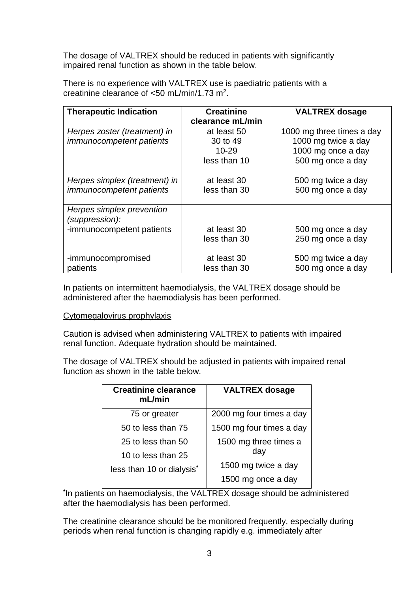The dosage of VALTREX should be reduced in patients with significantly impaired renal function as shown in the table below.

There is no experience with VALTREX use is paediatric patients with a creatinine clearance of <50 mL/min/1.73 m2.

| <b>Therapeutic Indication</b>   | <b>Creatinine</b> | <b>VALTREX dosage</b>     |
|---------------------------------|-------------------|---------------------------|
|                                 | clearance mL/min  |                           |
| Herpes zoster (treatment) in    | at least 50       | 1000 mg three times a day |
| <i>immunocompetent patients</i> | 30 to 49          | 1000 mg twice a day       |
|                                 | $10 - 29$         | 1000 mg once a day        |
|                                 | less than 10      | 500 mg once a day         |
|                                 |                   |                           |
| Herpes simplex (treatment) in   | at least 30       | 500 mg twice a day        |
| <i>immunocompetent patients</i> | less than 30      | 500 mg once a day         |
|                                 |                   |                           |
| Herpes simplex prevention       |                   |                           |
| (suppression):                  |                   |                           |
| -immunocompetent patients       | at least 30       | 500 mg once a day         |
|                                 | less than 30      | 250 mg once a day         |
|                                 |                   |                           |
| -immunocompromised              | at least 30       | 500 mg twice a day        |
| patients                        | less than 30      | 500 mg once a day         |

In patients on intermittent haemodialysis, the VALTREX dosage should be administered after the haemodialysis has been performed.

#### Cytomegalovirus prophylaxis

Caution is advised when administering VALTREX to patients with impaired renal function. Adequate hydration should be maintained.

The dosage of VALTREX should be adjusted in patients with impaired renal function as shown in the table below.

| <b>Creatinine clearance</b><br>mL/min | <b>VALTREX dosage</b>    |
|---------------------------------------|--------------------------|
| 75 or greater                         | 2000 mg four times a day |
| 50 to less than 75                    | 1500 mg four times a day |
| 25 to less than 50                    | 1500 mg three times a    |
| 10 to less than 25                    | day                      |
| less than 10 or dialysis*             | 1500 mg twice a day      |
|                                       | 1500 mg once a day       |

**\*** In patients on haemodialysis, the VALTREX dosage should be administered after the haemodialysis has been performed.

The creatinine clearance should be be monitored frequently, especially during periods when renal function is changing rapidly e.g. immediately after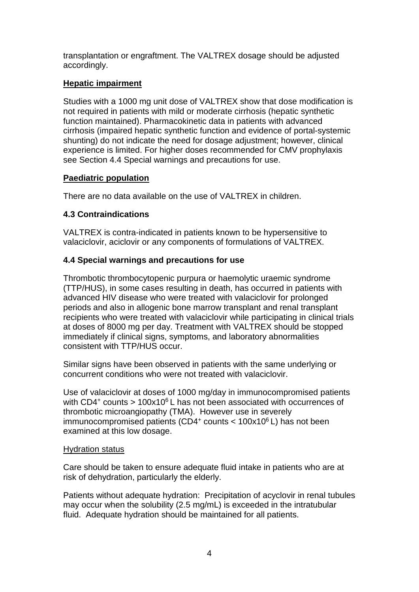transplantation or engraftment. The VALTREX dosage should be adjusted accordingly.

# **Hepatic impairment**

Studies with a 1000 mg unit dose of VALTREX show that dose modification is not required in patients with mild or moderate cirrhosis (hepatic synthetic function maintained). Pharmacokinetic data in patients with advanced cirrhosis (impaired hepatic synthetic function and evidence of portal-systemic shunting) do not indicate the need for dosage adjustment; however, clinical experience is limited. For higher doses recommended for CMV prophylaxis see Section 4.4 Special warnings and precautions for use.

# **Paediatric population**

There are no data available on the use of VALTREX in children.

# **4.3 Contraindications**

VALTREX is contra-indicated in patients known to be hypersensitive to valaciclovir, aciclovir or any components of formulations of VALTREX.

# **4.4 Special warnings and precautions for use**

Thrombotic thrombocytopenic purpura or haemolytic uraemic syndrome (TTP/HUS), in some cases resulting in death, has occurred in patients with advanced HIV disease who were treated with valaciclovir for prolonged periods and also in allogenic bone marrow transplant and renal transplant recipients who were treated with valaciclovir while participating in clinical trials at doses of 8000 mg per day. Treatment with VALTREX should be stopped immediately if clinical signs, symptoms, and laboratory abnormalities consistent with TTP/HUS occur.

Similar signs have been observed in patients with the same underlying or concurrent conditions who were not treated with valaciclovir.

Use of valaciclovir at doses of 1000 mg/day in immunocompromised patients with CD4<sup>+</sup> counts > 100x10<sup>6</sup> L has not been associated with occurrences of thrombotic microangiopathy (TMA). However use in severely immunocompromised patients (CD4+ counts  $< 100 \times 10^6$  L) has not been examined at this low dosage.

# Hydration status

Care should be taken to ensure adequate fluid intake in patients who are at risk of dehydration, particularly the elderly.

Patients without adequate hydration: Precipitation of acyclovir in renal tubules may occur when the solubility (2.5 mg/mL) is exceeded in the intratubular fluid. Adequate hydration should be maintained for all patients.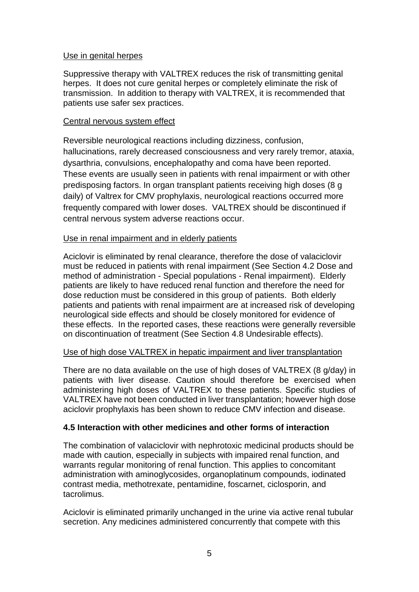#### Use in genital herpes

Suppressive therapy with VALTREX reduces the risk of transmitting genital herpes. It does not cure genital herpes or completely eliminate the risk of transmission. In addition to therapy with VALTREX, it is recommended that patients use safer sex practices.

#### Central nervous system effect

Reversible neurological reactions including dizziness, confusion, hallucinations, rarely decreased consciousness and very rarely tremor, ataxia, dysarthria, convulsions, encephalopathy and coma have been reported. These events are usually seen in patients with renal impairment or with other predisposing factors. In organ transplant patients receiving high doses (8 g daily) of Valtrex for CMV prophylaxis, neurological reactions occurred more frequently compared with lower doses. VALTREX should be discontinued if central nervous system adverse reactions occur.

#### Use in renal impairment and in elderly patients

Aciclovir is eliminated by renal clearance, therefore the dose of valaciclovir must be reduced in patients with renal impairment (See Section 4.2 Dose and method of administration - Special populations - Renal impairment). Elderly patients are likely to have reduced renal function and therefore the need for dose reduction must be considered in this group of patients. Both elderly patients and patients with renal impairment are at increased risk of developing neurological side effects and should be closely monitored for evidence of these effects. In the reported cases, these reactions were generally reversible on discontinuation of treatment (See Section 4.8 Undesirable effects).

#### Use of high dose VALTREX in hepatic impairment and liver transplantation

There are no data available on the use of high doses of VALTREX (8 g/day) in patients with liver disease. Caution should therefore be exercised when administering high doses of VALTREX to these patients. Specific studies of VALTREX have not been conducted in liver transplantation; however high dose aciclovir prophylaxis has been shown to reduce CMV infection and disease.

#### **4.5 Interaction with other medicines and other forms of interaction**

The combination of valaciclovir with nephrotoxic medicinal products should be made with caution, especially in subjects with impaired renal function, and warrants regular monitoring of renal function. This applies to concomitant administration with aminoglycosides, organoplatinum compounds, iodinated contrast media, methotrexate, pentamidine, foscarnet, ciclosporin, and tacrolimus.

Aciclovir is eliminated primarily unchanged in the urine via active renal tubular secretion. Any medicines administered concurrently that compete with this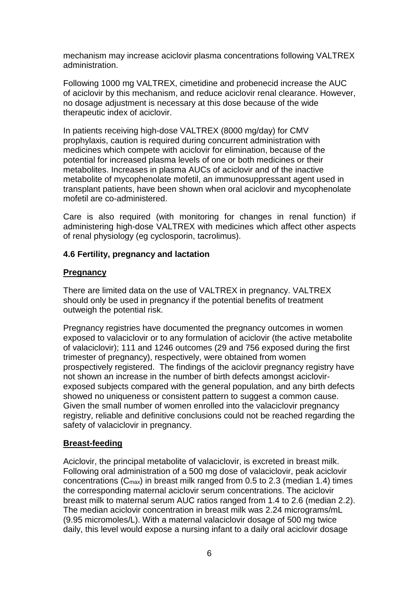mechanism may increase aciclovir plasma concentrations following VALTREX administration.

Following 1000 mg VALTREX, cimetidine and probenecid increase the AUC of aciclovir by this mechanism, and reduce aciclovir renal clearance. However, no dosage adjustment is necessary at this dose because of the wide therapeutic index of aciclovir.

In patients receiving high-dose VALTREX (8000 mg/day) for CMV prophylaxis, caution is required during concurrent administration with medicines which compete with aciclovir for elimination, because of the potential for increased plasma levels of one or both medicines or their metabolites. Increases in plasma AUCs of aciclovir and of the inactive metabolite of mycophenolate mofetil, an immunosuppressant agent used in transplant patients, have been shown when oral aciclovir and mycophenolate mofetil are co-administered.

Care is also required (with monitoring for changes in renal function) if administering high-dose VALTREX with medicines which affect other aspects of renal physiology (eg cyclosporin, tacrolimus).

### **4.6 Fertility, pregnancy and lactation**

#### **Pregnancy**

There are limited data on the use of VALTREX in pregnancy. VALTREX should only be used in pregnancy if the potential benefits of treatment outweigh the potential risk.

Pregnancy registries have documented the pregnancy outcomes in women exposed to valaciclovir or to any formulation of aciclovir (the active metabolite of valaciclovir); 111 and 1246 outcomes (29 and 756 exposed during the first trimester of pregnancy), respectively, were obtained from women prospectively registered. The findings of the aciclovir pregnancy registry have not shown an increase in the number of birth defects amongst aciclovirexposed subjects compared with the general population, and any birth defects showed no uniqueness or consistent pattern to suggest a common cause. Given the small number of women enrolled into the valaciclovir pregnancy registry, reliable and definitive conclusions could not be reached regarding the safety of valaciclovir in pregnancy.

# **Breast-feeding**

Aciclovir, the principal metabolite of valaciclovir, is excreted in breast milk. Following oral administration of a 500 mg dose of valaciclovir, peak aciclovir concentrations (Cmax) in breast milk ranged from 0.5 to 2.3 (median 1.4) times the corresponding maternal aciclovir serum concentrations. The aciclovir breast milk to maternal serum AUC ratios ranged from 1.4 to 2.6 (median 2.2). The median aciclovir concentration in breast milk was 2.24 micrograms/mL (9.95 micromoles/L). With a maternal valaciclovir dosage of 500 mg twice daily, this level would expose a nursing infant to a daily oral aciclovir dosage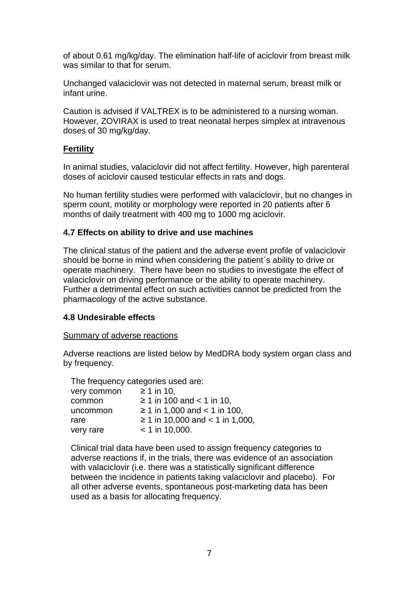of about 0.61 mg/kg/day. The elimination half-life of aciclovir from breast milk was similar to that for serum.

Unchanged valaciclovir was not detected in maternal serum, breast milk or infant urine.

Caution is advised if VALTREX is to be administered to a nursing woman. However, ZOVIRAX is used to treat neonatal herpes simplex at intravenous doses of 30 mg/kg/day.

#### **Fertility**

In animal studies, valaciclovir did not affect fertility. However, high parenteral doses of aciclovir caused testicular effects in rats and dogs.

No human fertility studies were performed with valaciclovir, but no changes in sperm count, motility or morphology were reported in 20 patients after 6 months of daily treatment with 400 mg to 1000 mg aciclovir*.*

### **4.7 Effects on ability to drive and use machines**

The clinical status of the patient and the adverse event profile of valaciclovir should be borne in mind when considering the patient`s ability to drive or operate machinery. There have been no studies to investigate the effect of valaciclovir on driving performance or the ability to operate machinery. Further a detrimental effect on such activities cannot be predicted from the pharmacology of the active substance.

#### **4.8 Undesirable effects**

#### Summary of adverse reactions

Adverse reactions are listed below by MedDRA body system organ class and by frequency.

| The frequency categories used are: |                                      |  |
|------------------------------------|--------------------------------------|--|
| very common                        | $\geq 1$ in 10.                      |  |
| common                             | $≥ 1$ in 100 and < 1 in 10,          |  |
| uncommon                           | ≥ 1 in 1,000 and < 1 in 100,         |  |
| rare                               | $\geq$ 1 in 10,000 and < 1 in 1,000, |  |
| very rare                          | $<$ 1 in 10,000.                     |  |

Clinical trial data have been used to assign frequency categories to adverse reactions if, in the trials, there was evidence of an association with valaciclovir (i.e. there was a statistically significant difference between the incidence in patients taking valaciclovir and placebo). For all other adverse events, spontaneous post-marketing data has been used as a basis for allocating frequency.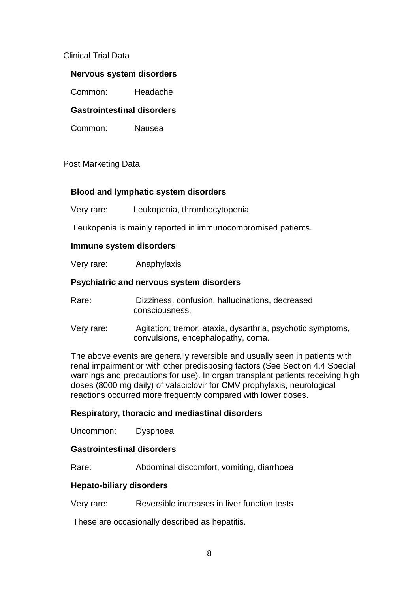#### Clinical Trial Data

#### **Nervous system disorders**

Common: Headache

#### **Gastrointestinal disorders**

Common: Nausea

#### Post Marketing Data

#### **Blood and lymphatic system disorders**

Very rare: Leukopenia, thrombocytopenia

Leukopenia is mainly reported in immunocompromised patients.

#### **Immune system disorders**

Very rare: Anaphylaxis

#### **Psychiatric and nervous system disorders**

Rare: Dizziness, confusion, hallucinations, decreased consciousness.

Very rare: Agitation, tremor, ataxia, dysarthria, psychotic symptoms, convulsions, encephalopathy, coma.

The above events are generally reversible and usually seen in patients with renal impairment or with other predisposing factors (See Section 4.4 Special warnings and precautions for use). In organ transplant patients receiving high doses (8000 mg daily) of valaciclovir for CMV prophylaxis, neurological reactions occurred more frequently compared with lower doses.

#### **Respiratory, thoracic and mediastinal disorders**

Uncommon: Dyspnoea

#### **Gastrointestinal disorders**

Rare: Abdominal discomfort, vomiting, diarrhoea

#### **Hepato-biliary disorders**

Very rare: Reversible increases in liver function tests

These are occasionally described as hepatitis.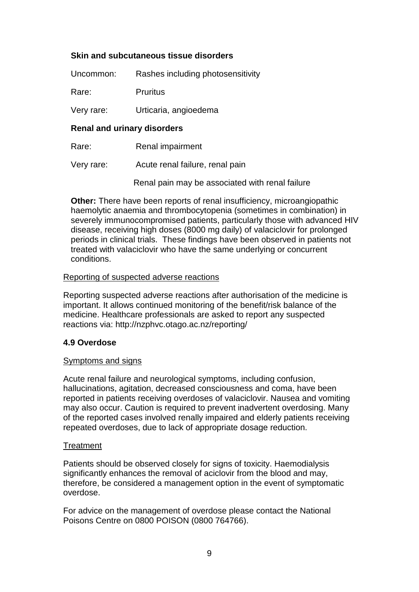### **Skin and subcutaneous tissue disorders**

| Uncommon:  | Rashes including photosensitivity |
|------------|-----------------------------------|
| Rare:      | <b>Pruritus</b>                   |
| Very rare: | Urticaria, angioedema             |

#### **Renal and urinary disorders**

Rare: Renal impairment

Very rare: Acute renal failure, renal pain

Renal pain may be associated with renal failure

**Other:** There have been reports of renal insufficiency, microangiopathic haemolytic anaemia and thrombocytopenia (sometimes in combination) in severely immunocompromised patients, particularly those with advanced HIV disease, receiving high doses (8000 mg daily) of valaciclovir for prolonged periods in clinical trials. These findings have been observed in patients not treated with valaciclovir who have the same underlying or concurrent conditions.

#### Reporting of suspected adverse reactions

Reporting suspected adverse reactions after authorisation of the medicine is important. It allows continued monitoring of the benefit/risk balance of the medicine. Healthcare professionals are asked to report any suspected reactions via: http://nzphvc.otago.ac.nz/reporting/

#### **4.9 Overdose**

#### Symptoms and signs

Acute renal failure and neurological symptoms, including confusion, hallucinations, agitation, decreased consciousness and coma, have been reported in patients receiving overdoses of valaciclovir. Nausea and vomiting may also occur. Caution is required to prevent inadvertent overdosing. Many of the reported cases involved renally impaired and elderly patients receiving repeated overdoses, due to lack of appropriate dosage reduction.

#### **Treatment**

Patients should be observed closely for signs of toxicity. Haemodialysis significantly enhances the removal of aciclovir from the blood and may. therefore, be considered a management option in the event of symptomatic overdose.

For advice on the management of overdose please contact the National Poisons Centre on 0800 POISON (0800 764766).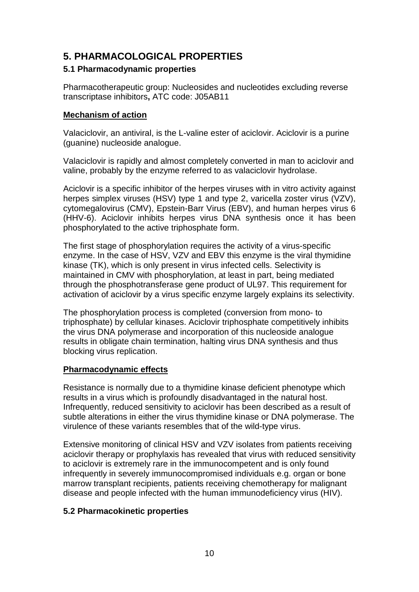# **5. PHARMACOLOGICAL PROPERTIES**

# **5.1 Pharmacodynamic properties**

Pharmacotherapeutic group: Nucleosides and nucleotides excluding reverse transcriptase inhibitors**,** ATC code: J05AB11

#### **Mechanism of action**

Valaciclovir, an antiviral, is the L-valine ester of aciclovir. Aciclovir is a purine (guanine) nucleoside analogue.

Valaciclovir is rapidly and almost completely converted in man to aciclovir and valine, probably by the enzyme referred to as valaciclovir hydrolase.

Aciclovir is a specific inhibitor of the herpes viruses with in vitro activity against herpes simplex viruses (HSV) type 1 and type 2, varicella zoster virus (VZV), cytomegalovirus (CMV), Epstein-Barr Virus (EBV), and human herpes virus 6 (HHV-6). Aciclovir inhibits herpes virus DNA synthesis once it has been phosphorylated to the active triphosphate form.

The first stage of phosphorylation requires the activity of a virus-specific enzyme. In the case of HSV, VZV and EBV this enzyme is the viral thymidine kinase (TK), which is only present in virus infected cells. Selectivity is maintained in CMV with phosphorylation, at least in part, being mediated through the phosphotransferase gene product of UL97. This requirement for activation of aciclovir by a virus specific enzyme largely explains its selectivity.

The phosphorylation process is completed (conversion from mono- to triphosphate) by cellular kinases. Aciclovir triphosphate competitively inhibits the virus DNA polymerase and incorporation of this nucleoside analogue results in obligate chain termination, halting virus DNA synthesis and thus blocking virus replication.

#### **Pharmacodynamic effects**

Resistance is normally due to a thymidine kinase deficient phenotype which results in a virus which is profoundly disadvantaged in the natural host. Infrequently, reduced sensitivity to aciclovir has been described as a result of subtle alterations in either the virus thymidine kinase or DNA polymerase. The virulence of these variants resembles that of the wild-type virus.

Extensive monitoring of clinical HSV and VZV isolates from patients receiving aciclovir therapy or prophylaxis has revealed that virus with reduced sensitivity to aciclovir is extremely rare in the immunocompetent and is only found infrequently in severely immunocompromised individuals e.g. organ or bone marrow transplant recipients, patients receiving chemotherapy for malignant disease and people infected with the human immunodeficiency virus (HIV).

# **5.2 Pharmacokinetic properties**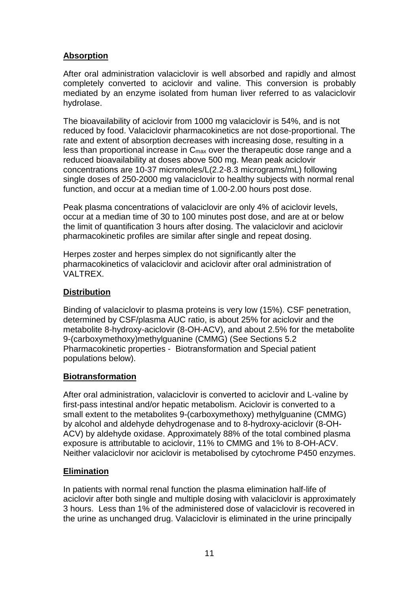# **Absorption**

After oral administration valaciclovir is well absorbed and rapidly and almost completely converted to aciclovir and valine. This conversion is probably mediated by an enzyme isolated from human liver referred to as valaciclovir hydrolase.

The bioavailability of aciclovir from 1000 mg valaciclovir is 54%, and is not reduced by food. Valaciclovir pharmacokinetics are not dose-proportional. The rate and extent of absorption decreases with increasing dose, resulting in a less than proportional increase in Cmax over the therapeutic dose range and a reduced bioavailability at doses above 500 mg. Mean peak aciclovir concentrations are 10-37 micromoles/L(2.2-8.3 micrograms/mL) following single doses of 250-2000 mg valaciclovir to healthy subjects with normal renal function, and occur at a median time of 1.00-2.00 hours post dose.

Peak plasma concentrations of valaciclovir are only 4% of aciclovir levels, occur at a median time of 30 to 100 minutes post dose, and are at or below the limit of quantification 3 hours after dosing. The valaciclovir and aciclovir pharmacokinetic profiles are similar after single and repeat dosing.

Herpes zoster and herpes simplex do not significantly alter the pharmacokinetics of valaciclovir and aciclovir after oral administration of VALTREX.

# **Distribution**

Binding of valaciclovir to plasma proteins is very low (15%). CSF penetration, determined by CSF/plasma AUC ratio, is about 25% for aciclovir and the metabolite 8-hydroxy-aciclovir (8-OH-ACV), and about 2.5% for the metabolite 9-(carboxymethoxy)methylguanine (CMMG) (See Sections 5.2 Pharmacokinetic properties - Biotransformation and Special patient populations below).

# **Biotransformation**

After oral administration, valaciclovir is converted to aciclovir and L-valine by first-pass intestinal and/or hepatic metabolism. Aciclovir is converted to a small extent to the metabolites 9-(carboxymethoxy) methylguanine (CMMG) by alcohol and aldehyde dehydrogenase and to 8-hydroxy-aciclovir (8-OH-ACV) by aldehyde oxidase. Approximately 88% of the total combined plasma exposure is attributable to aciclovir, 11% to CMMG and 1% to 8-OH-ACV. Neither valaciclovir nor aciclovir is metabolised by cytochrome P450 enzymes.

# **Elimination**

In patients with normal renal function the plasma elimination half-life of aciclovir after both single and multiple dosing with valaciclovir is approximately 3 hours. Less than 1% of the administered dose of valaciclovir is recovered in the urine as unchanged drug. Valaciclovir is eliminated in the urine principally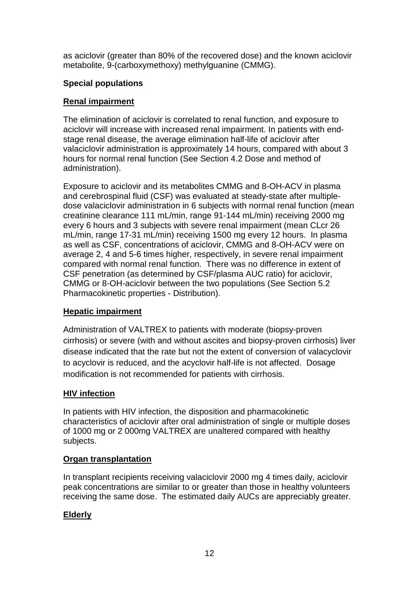as aciclovir (greater than 80% of the recovered dose) and the known aciclovir metabolite, 9-(carboxymethoxy) methylguanine (CMMG).

# **Special populations**

# **Renal impairment**

The elimination of aciclovir is correlated to renal function, and exposure to aciclovir will increase with increased renal impairment. In patients with endstage renal disease, the average elimination half-life of aciclovir after valaciclovir administration is approximately 14 hours, compared with about 3 hours for normal renal function (See Section 4.2 Dose and method of administration).

Exposure to aciclovir and its metabolites CMMG and 8-OH-ACV in plasma and cerebrospinal fluid (CSF) was evaluated at steady-state after multipledose valaciclovir administration in 6 subjects with normal renal function (mean creatinine clearance 111 mL/min, range 91-144 mL/min) receiving 2000 mg every 6 hours and 3 subjects with severe renal impairment (mean CLcr 26 mL/min, range 17-31 mL/min) receiving 1500 mg every 12 hours. In plasma as well as CSF, concentrations of aciclovir, CMMG and 8-OH-ACV were on average 2, 4 and 5-6 times higher, respectively, in severe renal impairment compared with normal renal function. There was no difference in extent of CSF penetration (as determined by CSF/plasma AUC ratio) for aciclovir, CMMG or 8-OH-aciclovir between the two populations (See Section 5.2 Pharmacokinetic properties - Distribution).

# **Hepatic impairment**

Administration of VALTREX to patients with moderate (biopsy-proven cirrhosis) or severe (with and without ascites and biopsy-proven cirrhosis) liver disease indicated that the rate but not the extent of conversion of valacyclovir to acyclovir is reduced, and the acyclovir half-life is not affected. Dosage modification is not recommended for patients with cirrhosis.

# **HIV infection**

In patients with HIV infection, the disposition and pharmacokinetic characteristics of aciclovir after oral administration of single or multiple doses of 1000 mg or 2 000mg VALTREX are unaltered compared with healthy subjects.

# **Organ transplantation**

In transplant recipients receiving valaciclovir 2000 mg 4 times daily, aciclovir peak concentrations are similar to or greater than those in healthy volunteers receiving the same dose. The estimated daily AUCs are appreciably greater.

# **Elderly**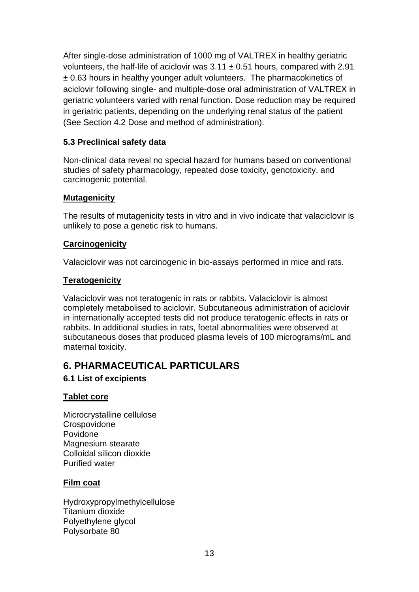After single-dose administration of 1000 mg of VALTREX in healthy geriatric volunteers, the half-life of aciclovir was  $3.11 \pm 0.51$  hours, compared with 2.91 ± 0.63 hours in healthy younger adult volunteers. The pharmacokinetics of aciclovir following single- and multiple-dose oral administration of VALTREX in geriatric volunteers varied with renal function. Dose reduction may be required in geriatric patients, depending on the underlying renal status of the patient (See Section 4.2 Dose and method of administration).

# **5.3 Preclinical safety data**

Non-clinical data reveal no special hazard for humans based on conventional studies of safety pharmacology, repeated dose toxicity, genotoxicity, and carcinogenic potential.

# **Mutagenicity**

The results of mutagenicity tests in vitro and in vivo indicate that valaciclovir is unlikely to pose a genetic risk to humans.

### **Carcinogenicity**

Valaciclovir was not carcinogenic in bio-assays performed in mice and rats.

### **Teratogenicity**

Valaciclovir was not teratogenic in rats or rabbits. Valaciclovir is almost completely metabolised to aciclovir. Subcutaneous administration of aciclovir in internationally accepted tests did not produce teratogenic effects in rats or rabbits. In additional studies in rats, foetal abnormalities were observed at subcutaneous doses that produced plasma levels of 100 micrograms/mL and maternal toxicity.

# **6. PHARMACEUTICAL PARTICULARS**

# **6.1 List of excipients**

#### **Tablet core**

Microcrystalline cellulose **Crospovidone** Povidone Magnesium stearate Colloidal silicon dioxide Purified water

# **Film coat**

Hydroxypropylmethylcellulose Titanium dioxide Polyethylene glycol Polysorbate 80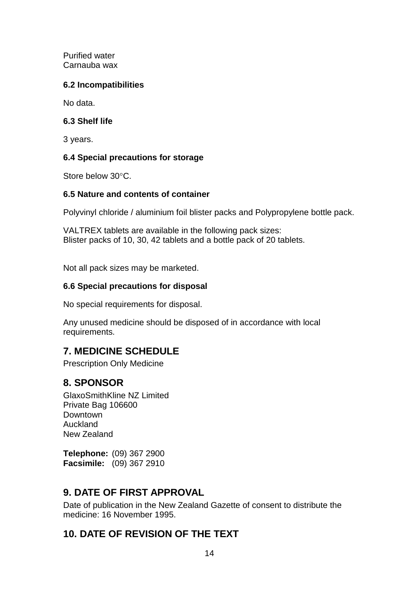Purified water Carnauba wax

# **6.2 Incompatibilities**

No data.

# **6.3 Shelf life**

3 years.

# **6.4 Special precautions for storage**

Store below 30°C.

# **6.5 Nature and contents of container**

Polyvinyl chloride / aluminium foil blister packs and Polypropylene bottle pack.

VALTREX tablets are available in the following pack sizes: Blister packs of 10, 30, 42 tablets and a bottle pack of 20 tablets.

Not all pack sizes may be marketed.

# **6.6 Special precautions for disposal**

No special requirements for disposal.

Any unused medicine should be disposed of in accordance with local requirements.

# **7. MEDICINE SCHEDULE**

Prescription Only Medicine

# **8. SPONSOR**

GlaxoSmithKline NZ Limited Private Bag 106600 Downtown Auckland New Zealand

**Telephone:** (09) 367 2900 **Facsimile:** (09) 367 2910

# **9. DATE OF FIRST APPROVAL**

Date of publication in the New Zealand Gazette of consent to distribute the medicine: 16 November 1995.

# **10. DATE OF REVISION OF THE TEXT**